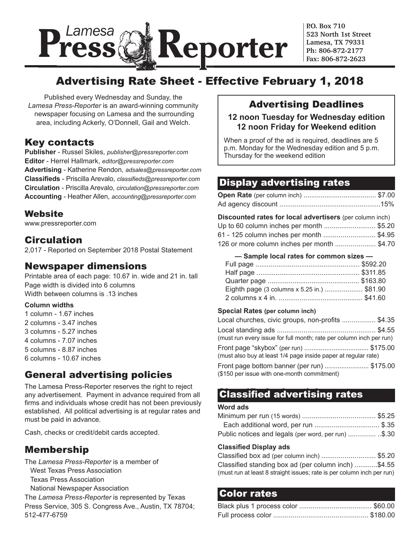

**P.O. Box 710 523 North 1st Street Lamesa, TX 79331 Ph: 806-872-2177 Fax: 806-872-2623**

# Advertising Rate Sheet - Effective February 1, 2018

Published every Wednesday and Sunday, the *Lamesa Press-Reporter* is an award-winning community newspaper focusing on Lamesa and the surrounding area, including Ackerly, O'Donnell, Gail and Welch.

## Key contacts

**Publisher** - Russel Skiles, *publisher@pressreporter.com* **Editor** - Herrel Hallmark, *editor@pressreporter.com* **Advertising** - Katherine Rendon, *adsales@pressreporter.com* **Classifieds** - Priscilla Arevalo, *classifieds@pressreporter.com* **Circulation** - Priscilla Arevalo, *circulation@pressreporter.com* **Accounting** - Heather Allen, *accounting@pressreporter.com*

### Website

www.pressreporter.com

## Circulation

2,017 - Reported on September 2018 Postal Statement

### Newspaper dimensions

Printable area of each page: 10.67 in. wide and 21 in. tall Page width is divided into 6 columns Width between columns is .13 inches

### **Column widths**

- 1 column 1.67 inches
- 2 columns 3.47 inches
- 3 columns 5.27 inches
- 4 columns 7.07 inches
- 5 columns 8.87 inches
- 6 columns 10.67 inches

## General advertising policies

The Lamesa Press-Reporter reserves the right to reject any advertisement. Payment in advance required from all firms and individuals whose credit has not been previously established. All political advertising is at regular rates and must be paid in advance.

Cash, checks or credit/debit cards accepted.

# Membership

The *Lamesa Press-Reporter* is a member of West Texas Press Association Texas Press Association

National Newspaper Association

The *Lamesa Press-Reporter* is represented by Texas Press Service, 305 S. Congress Ave., Austin, TX 78704; 512-477-6759

## Advertising Deadlines

### **12 noon Tuesday for Wednesday edition 12 noon Friday for Weekend edition**

When a proof of the ad is required, deadlines are 5 p.m. Monday for the Wednesday edition and 5 p.m. Thursday for the weekend edition

# Display advertising rates Display advertising rates

### **Discounted rates for local advertisers** (per column inch)

| Up to 60 column inches per month \$5.20    |  |
|--------------------------------------------|--|
| 61 - 125 column inches per month \$4.95    |  |
| 126 or more column inches per month \$4.70 |  |

 **— Sample local rates for common sizes —**

| Eighth page (3 columns x 5.25 in.) \$81.90 |  |
|--------------------------------------------|--|
|                                            |  |
|                                            |  |

### **Special Rates (per column inch)**

| Local churches, civic groups, non-profits  \$4.35                                             |  |
|-----------------------------------------------------------------------------------------------|--|
| (must run every issue for full month; rate per column inch per run)                           |  |
| (must also buy at least 1/4 page inside paper at regular rate)                                |  |
| Front page bottom banner (per run) \$175.00<br>$(0.4E)$ particular with one mounth commitment |  |

(\$150 per issue with one-month commitment)

# Classified advertising rates Classified advertising rates

### **Word ads**

| Each additional word, per run \$.35                 |  |
|-----------------------------------------------------|--|
| Public notices and legals (per word, per run) \$.30 |  |

### **Classified Display ads**

| Classified box ad (per column inch)  \$5.20                            |  |
|------------------------------------------------------------------------|--|
| Classified standing box ad (per column inch) \$4.55                    |  |
| (must run at least 8 straight issues; rate is per column inch per run) |  |

## Color rates